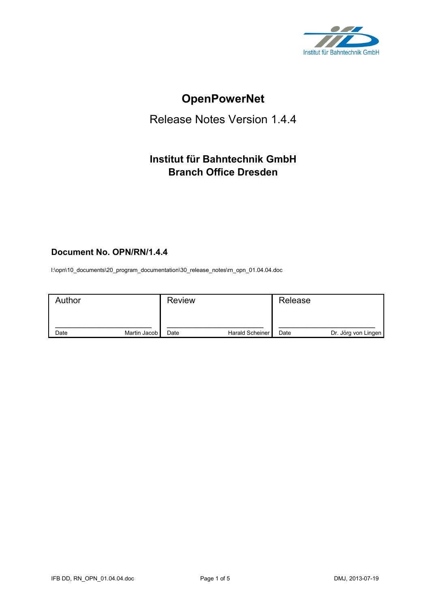

# **OpenPowerNet**

## Release Notes Version 1.4.4

## **Institut für Bahntechnik GmbH Branch Office Dresden**

## **Document No. OPN/RN/1.4.4**

l:\opn\10\_documents\20\_program\_documentation\30\_release\_notes\rn\_opn\_01.04.04.doc

| Author |              | <b>Review</b> |                 | Release |                     |
|--------|--------------|---------------|-----------------|---------|---------------------|
| Date   | Martin Jacob | Date          | Harald Scheiner | Date    | Dr. Jörg von Lingen |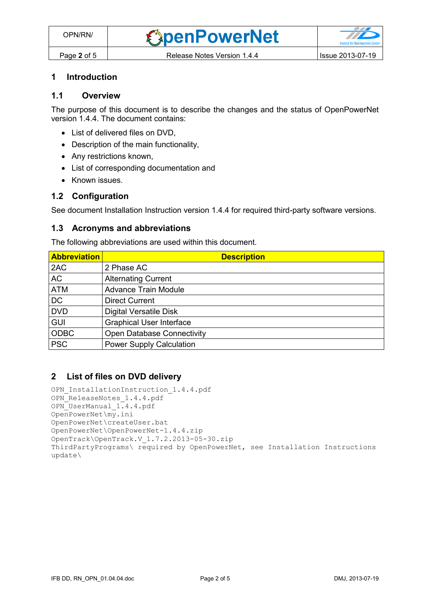#### **1 Introduction**

#### **1.1 Overview**

The purpose of this document is to describe the changes and the status of OpenPowerNet version 1.4.4. The document contains:

- List of delivered files on DVD,
- Description of the main functionality,
- Any restrictions known,
- List of corresponding documentation and
- Known issues.

#### **1.2 Configuration**

See document Installation Instruction version 1.4.4 for required third-party software versions.

#### **1.3 Acronyms and abbreviations**

The following abbreviations are used within this document.

| <b>Abbreviation</b> | <b>Description</b>                |
|---------------------|-----------------------------------|
| 2AC                 | 2 Phase AC                        |
| <b>AC</b>           | <b>Alternating Current</b>        |
| <b>ATM</b>          | <b>Advance Train Module</b>       |
| <b>DC</b>           | <b>Direct Current</b>             |
| <b>DVD</b>          | <b>Digital Versatile Disk</b>     |
| <b>GUI</b>          | <b>Graphical User Interface</b>   |
| <b>ODBC</b>         | <b>Open Database Connectivity</b> |
| <b>PSC</b>          | <b>Power Supply Calculation</b>   |

#### **2 List of files on DVD delivery**

```
OPN InstallationInstruction 1.4.4.pdf
OPN ReleaseNotes 1.4.4.pdf
OPN_UserManual_1.4.4.pdf
OpenPowerNet\my.ini
OpenPowerNet\createUser.bat
OpenPowerNet\OpenPowerNet-1.4.4.zip
OpenTrack\OpenTrack.V_1.7.2.2013-05-30.zip
ThirdPartyPrograms\ required by OpenPowerNet, see Installation Instructions
update\
```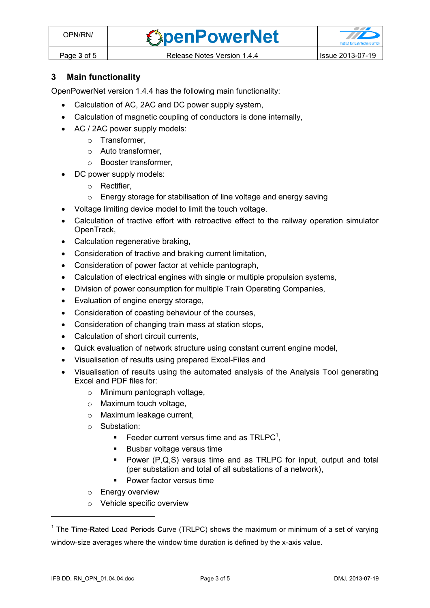*<u>SpenPowerNet</u>* 



## **3 Main functionality**

OpenPowerNet version 1.4.4 has the following main functionality:

- Calculation of AC, 2AC and DC power supply system,
- Calculation of magnetic coupling of conductors is done internally,
- AC / 2AC power supply models:
	- o Transformer,
	- o Auto transformer,
	- o Booster transformer,
- DC power supply models:
	- o Rectifier,
	- o Energy storage for stabilisation of line voltage and energy saving
- Voltage limiting device model to limit the touch voltage.
- Calculation of tractive effort with retroactive effect to the railway operation simulator OpenTrack,
- Calculation regenerative braking,
- Consideration of tractive and braking current limitation,
- Consideration of power factor at vehicle pantograph,
- Calculation of electrical engines with single or multiple propulsion systems,
- Division of power consumption for multiple Train Operating Companies,
- Evaluation of engine energy storage,
- Consideration of coasting behaviour of the courses,
- Consideration of changing train mass at station stops,
- Calculation of short circuit currents,
- Quick evaluation of network structure using constant current engine model,
- Visualisation of results using prepared Excel-Files and
- Visualisation of results using the automated analysis of the Analysis Tool generating Excel and PDF files for:
	- o Minimum pantograph voltage,
	- o Maximum touch voltage,
	- o Maximum leakage current,
	- o Substation:
		- Feeder current versus time and as  $TRLPC<sup>1</sup>$ ,
		- **Busbar voltage versus time**
		- Power (P,Q,S) versus time and as TRLPC for input, output and total (per substation and total of all substations of a network),
		- Power factor versus time
	- o Energy overview
	- o Vehicle specific overview

 $\overline{a}$ 

<sup>1</sup> The **T**ime-**R**ated **L**oad **P**eriods **C**urve (TRLPC) shows the maximum or minimum of a set of varying window-size averages where the window time duration is defined by the x-axis value.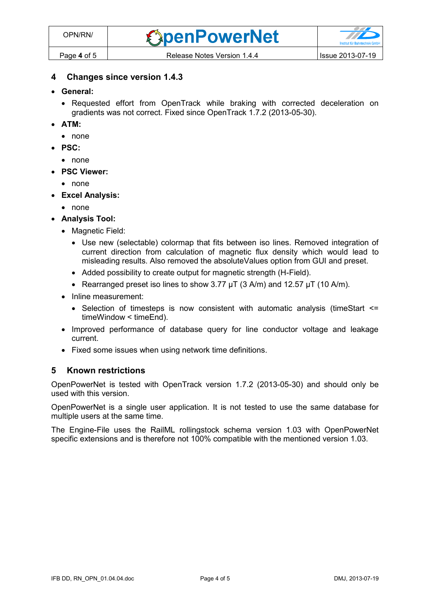### **4 Changes since version 1.4.3**

- **General:**
	- Requested effort from OpenTrack while braking with corrected deceleration on gradients was not correct. Fixed since OpenTrack 1.7.2 (2013-05-30).
- **ATM:**
	- none
- **PSC:**
	- none
- **PSC Viewer:**
	- none
- **Excel Analysis:**
	- none
- **Analysis Tool:**
	- Magnetic Field:
		- Use new (selectable) colormap that fits between iso lines. Removed integration of current direction from calculation of magnetic flux density which would lead to misleading results. Also removed the absoluteValues option from GUI and preset.
		- Added possibility to create output for magnetic strength (H-Field).
		- Rearranged preset iso lines to show  $3.77 \mu T$  (3 A/m) and  $12.57 \mu T$  (10 A/m).
	- Inline measurement:
		- Selection of timesteps is now consistent with automatic analysis (timeStart  $\leq$ timeWindow < timeEnd).
	- Improved performance of database query for line conductor voltage and leakage current.
	- Fixed some issues when using network time definitions.

#### **5 Known restrictions**

OpenPowerNet is tested with OpenTrack version 1.7.2 (2013-05-30) and should only be used with this version.

OpenPowerNet is a single user application. It is not tested to use the same database for multiple users at the same time.

The Engine-File uses the RailML rollingstock schema version 1.03 with OpenPowerNet specific extensions and is therefore not 100% compatible with the mentioned version 1.03.